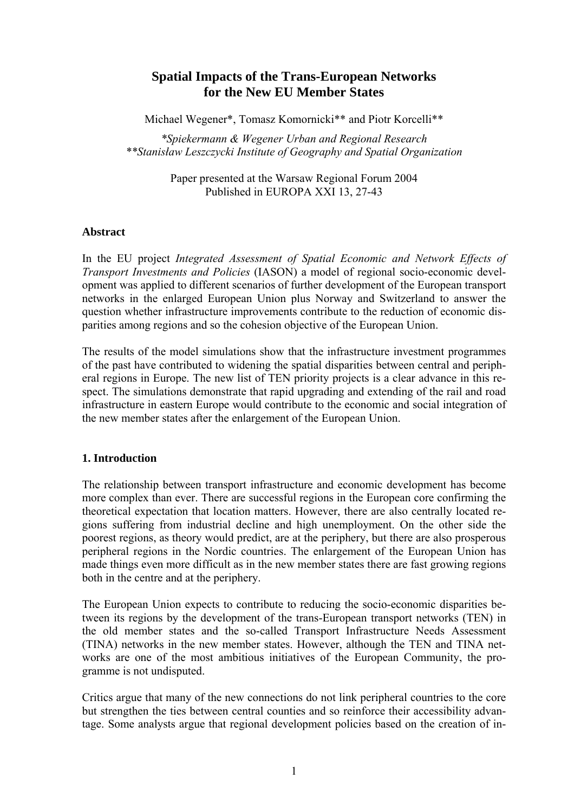# **Spatial Impacts of the Trans-European Networks for the New EU Member States**

Michael Wegener\*, Tomasz Komornicki\*\* and Piotr Korcelli\*\*

*\*Spiekermann & Wegener Urban and Regional Research \*\*Stanisław Leszczycki Institute of Geography and Spatial Organization*

> Paper presented at the Warsaw Regional Forum 2004 Published in EUROPA XXI 13, 27-43

#### **Abstract**

In the EU project *Integrated Assessment of Spatial Economic and Network Effects of Transport Investments and Policies* (IASON) a model of regional socio-economic development was applied to different scenarios of further development of the European transport networks in the enlarged European Union plus Norway and Switzerland to answer the question whether infrastructure improvements contribute to the reduction of economic disparities among regions and so the cohesion objective of the European Union.

The results of the model simulations show that the infrastructure investment programmes of the past have contributed to widening the spatial disparities between central and peripheral regions in Europe. The new list of TEN priority projects is a clear advance in this respect. The simulations demonstrate that rapid upgrading and extending of the rail and road infrastructure in eastern Europe would contribute to the economic and social integration of the new member states after the enlargement of the European Union.

### **1. Introduction**

The relationship between transport infrastructure and economic development has become more complex than ever. There are successful regions in the European core confirming the theoretical expectation that location matters. However, there are also centrally located regions suffering from industrial decline and high unemployment. On the other side the poorest regions, as theory would predict, are at the periphery, but there are also prosperous peripheral regions in the Nordic countries. The enlargement of the European Union has made things even more difficult as in the new member states there are fast growing regions both in the centre and at the periphery.

The European Union expects to contribute to reducing the socio-economic disparities between its regions by the development of the trans-European transport networks (TEN) in the old member states and the so-called Transport Infrastructure Needs Assessment (TINA) networks in the new member states. However, although the TEN and TINA networks are one of the most ambitious initiatives of the European Community, the programme is not undisputed.

Critics argue that many of the new connections do not link peripheral countries to the core but strengthen the ties between central counties and so reinforce their accessibility advantage. Some analysts argue that regional development policies based on the creation of in-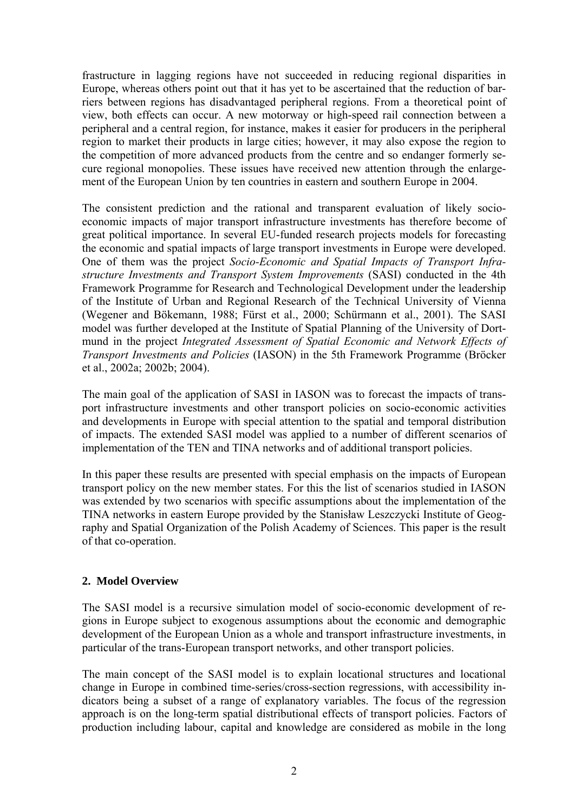frastructure in lagging regions have not succeeded in reducing regional disparities in Europe, whereas others point out that it has yet to be ascertained that the reduction of barriers between regions has disadvantaged peripheral regions. From a theoretical point of view, both effects can occur. A new motorway or high-speed rail connection between a peripheral and a central region, for instance, makes it easier for producers in the peripheral region to market their products in large cities; however, it may also expose the region to the competition of more advanced products from the centre and so endanger formerly secure regional monopolies. These issues have received new attention through the enlargement of the European Union by ten countries in eastern and southern Europe in 2004.

The consistent prediction and the rational and transparent evaluation of likely socioeconomic impacts of major transport infrastructure investments has therefore become of great political importance. In several EU-funded research projects models for forecasting the economic and spatial impacts of large transport investments in Europe were developed. One of them was the project *Socio-Economic and Spatial Impacts of Transport Infrastructure Investments and Transport System Improvements* (SASI) conducted in the 4th Framework Programme for Research and Technological Development under the leadership of the Institute of Urban and Regional Research of the Technical University of Vienna (Wegener and Bökemann, 1988; Fürst et al., 2000; Schürmann et al., 2001). The SASI model was further developed at the Institute of Spatial Planning of the University of Dortmund in the project *Integrated Assessment of Spatial Economic and Network Effects of Transport Investments and Policies* (IASON) in the 5th Framework Programme (Bröcker et al., 2002a; 2002b; 2004).

The main goal of the application of SASI in IASON was to forecast the impacts of transport infrastructure investments and other transport policies on socio-economic activities and developments in Europe with special attention to the spatial and temporal distribution of impacts. The extended SASI model was applied to a number of different scenarios of implementation of the TEN and TINA networks and of additional transport policies.

In this paper these results are presented with special emphasis on the impacts of European transport policy on the new member states. For this the list of scenarios studied in IASON was extended by two scenarios with specific assumptions about the implementation of the TINA networks in eastern Europe provided by the Stanisław Leszczycki Institute of Geography and Spatial Organization of the Polish Academy of Sciences. This paper is the result of that co-operation.

### **2. Model Overview**

The SASI model is a recursive simulation model of socio-economic development of regions in Europe subject to exogenous assumptions about the economic and demographic development of the European Union as a whole and transport infrastructure investments, in particular of the trans-European transport networks, and other transport policies.

The main concept of the SASI model is to explain locational structures and locational change in Europe in combined time-series/cross-section regressions, with accessibility indicators being a subset of a range of explanatory variables. The focus of the regression approach is on the long-term spatial distributional effects of transport policies. Factors of production including labour, capital and knowledge are considered as mobile in the long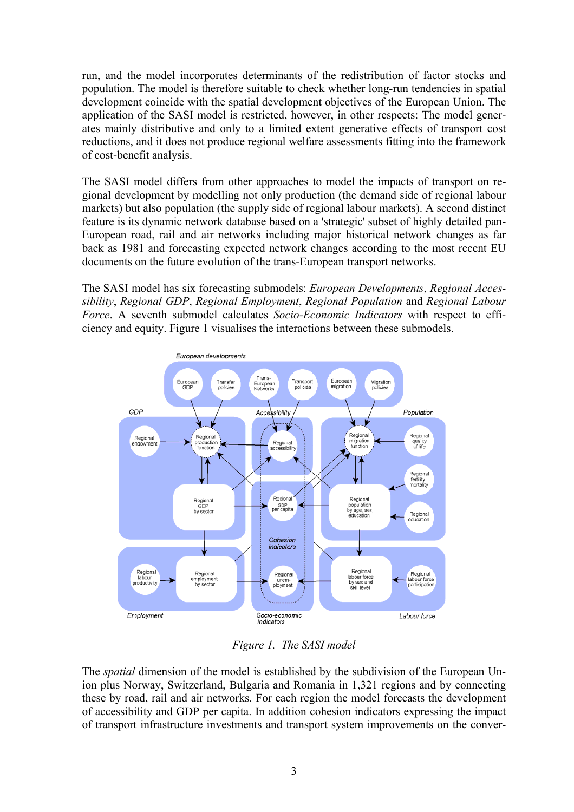run, and the model incorporates determinants of the redistribution of factor stocks and population. The model is therefore suitable to check whether long-run tendencies in spatial development coincide with the spatial development objectives of the European Union. The application of the SASI model is restricted, however, in other respects: The model generates mainly distributive and only to a limited extent generative effects of transport cost reductions, and it does not produce regional welfare assessments fitting into the framework of cost-benefit analysis.

The SASI model differs from other approaches to model the impacts of transport on regional development by modelling not only production (the demand side of regional labour markets) but also population (the supply side of regional labour markets). A second distinct feature is its dynamic network database based on a 'strategic' subset of highly detailed pan-European road, rail and air networks including major historical network changes as far back as 1981 and forecasting expected network changes according to the most recent EU documents on the future evolution of the trans-European transport networks.

The SASI model has six forecasting submodels: *European Developments*, *Regional Accessibility*, *Regional GDP*, *Regional Employment*, *Regional Population* and *Regional Labour Force*. A seventh submodel calculates *Socio-Economic Indicators* with respect to efficiency and equity. Figure 1 visualises the interactions between these submodels.



*Figure 1. The SASI model*

The *spatial* dimension of the model is established by the subdivision of the European Union plus Norway, Switzerland, Bulgaria and Romania in 1,321 regions and by connecting these by road, rail and air networks. For each region the model forecasts the development of accessibility and GDP per capita. In addition cohesion indicators expressing the impact of transport infrastructure investments and transport system improvements on the conver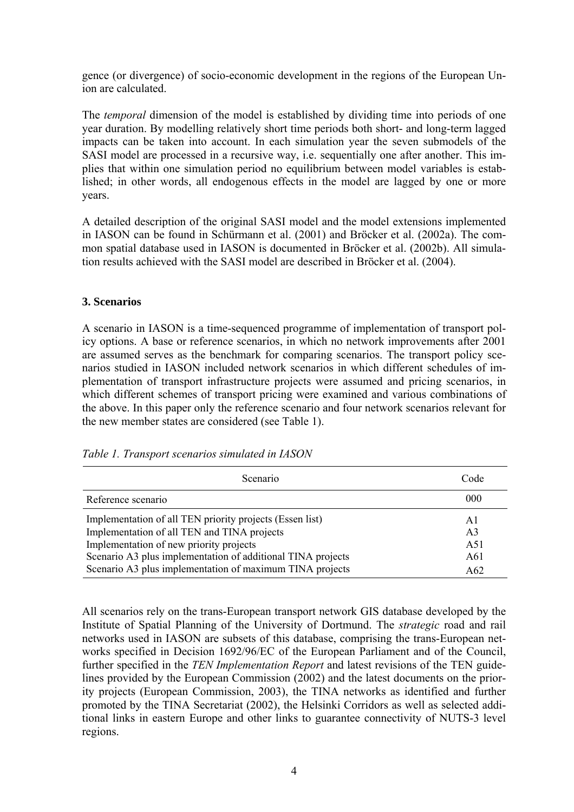gence (or divergence) of socio-economic development in the regions of the European Union are calculated.

The *temporal* dimension of the model is established by dividing time into periods of one year duration. By modelling relatively short time periods both short- and long-term lagged impacts can be taken into account. In each simulation year the seven submodels of the SASI model are processed in a recursive way, i.e. sequentially one after another. This implies that within one simulation period no equilibrium between model variables is established; in other words, all endogenous effects in the model are lagged by one or more years.

A detailed description of the original SASI model and the model extensions implemented in IASON can be found in Schürmann et al. (2001) and Bröcker et al. (2002a). The common spatial database used in IASON is documented in Bröcker et al. (2002b). All simulation results achieved with the SASI model are described in Bröcker et al. (2004).

### **3. Scenarios**

A scenario in IASON is a time-sequenced programme of implementation of transport policy options. A base or reference scenarios, in which no network improvements after 2001 are assumed serves as the benchmark for comparing scenarios. The transport policy scenarios studied in IASON included network scenarios in which different schedules of implementation of transport infrastructure projects were assumed and pricing scenarios, in which different schemes of transport pricing were examined and various combinations of the above. In this paper only the reference scenario and four network scenarios relevant for the new member states are considered (see Table 1).

| Scenario                                                    | Code           |  |
|-------------------------------------------------------------|----------------|--|
| Reference scenario                                          | 000            |  |
| Implementation of all TEN priority projects (Essen list)    | A1             |  |
| Implementation of all TEN and TINA projects                 | A <sub>3</sub> |  |
| Implementation of new priority projects                     | A51            |  |
| Scenario A3 plus implementation of additional TINA projects | A61            |  |
| Scenario A3 plus implementation of maximum TINA projects    | A62            |  |

*Table 1. Transport scenarios simulated in IASON*

All scenarios rely on the trans-European transport network GIS database developed by the Institute of Spatial Planning of the University of Dortmund. The *strategic* road and rail networks used in IASON are subsets of this database, comprising the trans-European networks specified in Decision 1692/96/EC of the European Parliament and of the Council, further specified in the *TEN Implementation Report* and latest revisions of the TEN guidelines provided by the European Commission (2002) and the latest documents on the priority projects (European Commission, 2003), the TINA networks as identified and further promoted by the TINA Secretariat (2002), the Helsinki Corridors as well as selected additional links in eastern Europe and other links to guarantee connectivity of NUTS-3 level regions.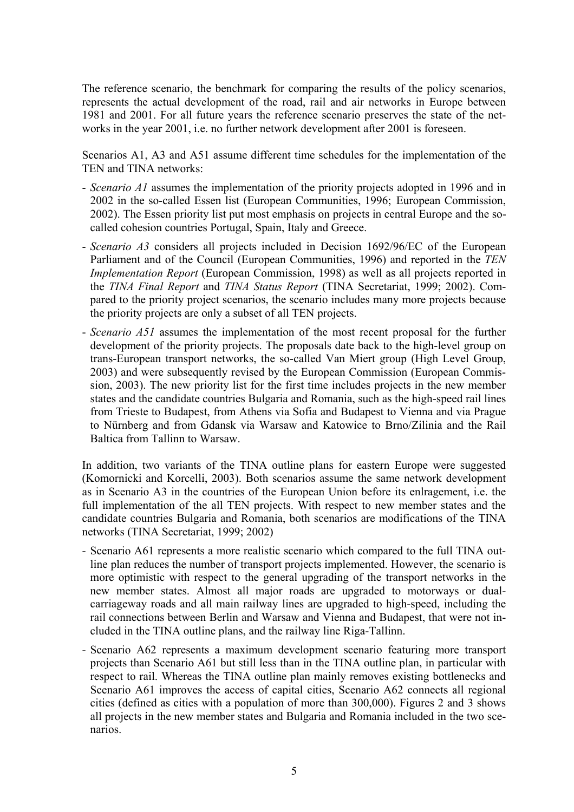The reference scenario, the benchmark for comparing the results of the policy scenarios, represents the actual development of the road, rail and air networks in Europe between 1981 and 2001. For all future years the reference scenario preserves the state of the networks in the year 2001, i.e. no further network development after 2001 is foreseen.

Scenarios A1, A3 and A51 assume different time schedules for the implementation of the TEN and TINA networks:

- *Scenario A1* assumes the implementation of the priority projects adopted in 1996 and in 2002 in the so-called Essen list (European Communities, 1996; European Commission, 2002). The Essen priority list put most emphasis on projects in central Europe and the socalled cohesion countries Portugal, Spain, Italy and Greece.
- *Scenario A3* considers all projects included in Decision 1692/96/EC of the European Parliament and of the Council (European Communities, 1996) and reported in the *TEN Implementation Report* (European Commission, 1998) as well as all projects reported in the *TINA Final Report* and *TINA Status Report* (TINA Secretariat, 1999; 2002). Compared to the priority project scenarios, the scenario includes many more projects because the priority projects are only a subset of all TEN projects.
- *Scenario A51* assumes the implementation of the most recent proposal for the further development of the priority projects. The proposals date back to the high-level group on trans-European transport networks, the so-called Van Miert group (High Level Group, 2003) and were subsequently revised by the European Commission (European Commission, 2003). The new priority list for the first time includes projects in the new member states and the candidate countries Bulgaria and Romania, such as the high-speed rail lines from Trieste to Budapest, from Athens via Sofia and Budapest to Vienna and via Prague to Nürnberg and from Gdansk via Warsaw and Katowice to Brno/Zilinia and the Rail Baltica from Tallinn to Warsaw.

In addition, two variants of the TINA outline plans for eastern Europe were suggested (Komornicki and Korcelli, 2003). Both scenarios assume the same network development as in Scenario A3 in the countries of the European Union before its enlragement, i.e. the full implementation of the all TEN projects. With respect to new member states and the candidate countries Bulgaria and Romania, both scenarios are modifications of the TINA networks (TINA Secretariat, 1999; 2002)

- Scenario A61 represents a more realistic scenario which compared to the full TINA outline plan reduces the number of transport projects implemented. However, the scenario is more optimistic with respect to the general upgrading of the transport networks in the new member states. Almost all major roads are upgraded to motorways or dualcarriageway roads and all main railway lines are upgraded to high-speed, including the rail connections between Berlin and Warsaw and Vienna and Budapest, that were not included in the TINA outline plans, and the railway line Riga-Tallinn.
- Scenario A62 represents a maximum development scenario featuring more transport projects than Scenario A61 but still less than in the TINA outline plan, in particular with respect to rail. Whereas the TINA outline plan mainly removes existing bottlenecks and Scenario A61 improves the access of capital cities, Scenario A62 connects all regional cities (defined as cities with a population of more than 300,000). Figures 2 and 3 shows all projects in the new member states and Bulgaria and Romania included in the two scenarios.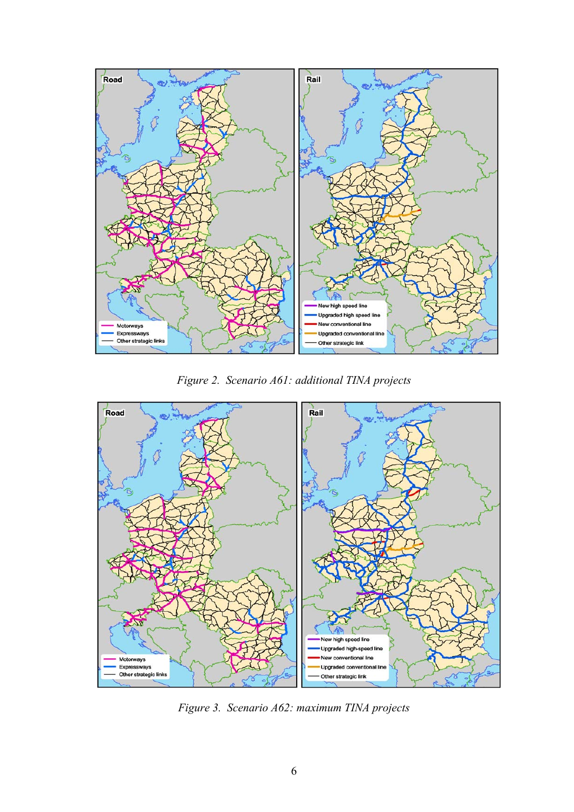

*Figure 2. Scenario A61: additional TINA projects*



*Figure 3. Scenario A62: maximum TINA projects*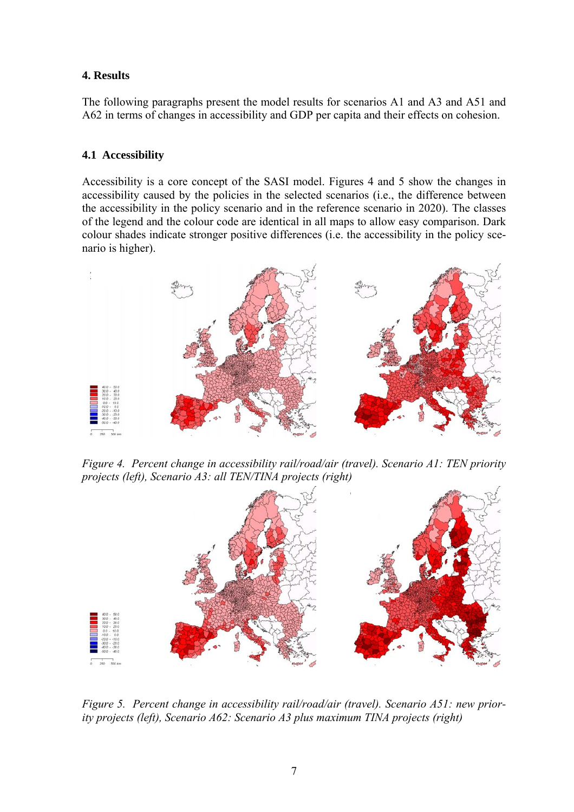#### **4. Results**

The following paragraphs present the model results for scenarios A1 and A3 and A51 and A62 in terms of changes in accessibility and GDP per capita and their effects on cohesion.

#### **4.1 Accessibility**

Accessibility is a core concept of the SASI model. Figures 4 and 5 show the changes in accessibility caused by the policies in the selected scenarios (i.e., the difference between the accessibility in the policy scenario and in the reference scenario in 2020). The classes of the legend and the colour code are identical in all maps to allow easy comparison. Dark colour shades indicate stronger positive differences (i.e. the accessibility in the policy scenario is higher).



*Figure 4. Percent change in accessibility rail/road/air (travel). Scenario A1: TEN priority projects (left), Scenario A3: all TEN/TINA projects (right)*



*Figure 5. Percent change in accessibility rail/road/air (travel). Scenario A51: new priority projects (left), Scenario A62: Scenario A3 plus maximum TINA projects (right)*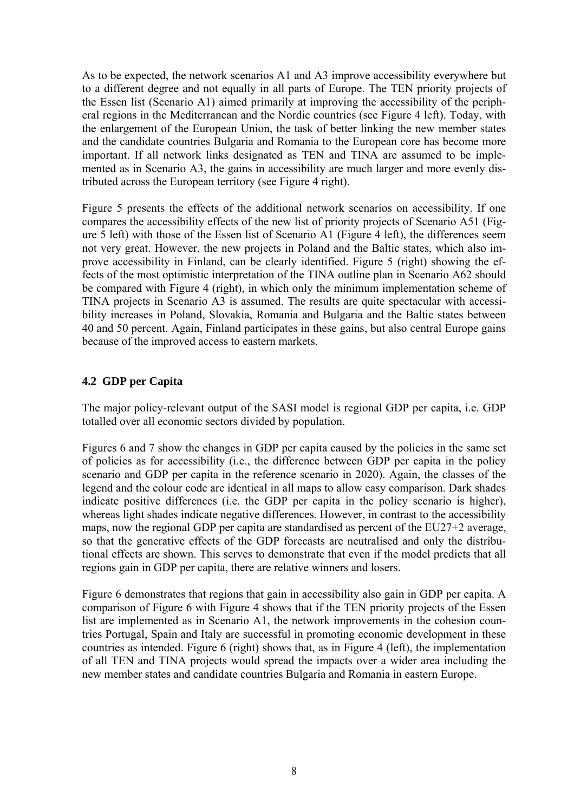As to be expected, the network scenarios A1 and A3 improve accessibility everywhere but to a different degree and not equally in all parts of Europe. The TEN priority projects of the Essen list (Scenario A1) aimed primarily at improving the accessibility of the peripheral regions in the Mediterranean and the Nordic countries (see Figure 4 left). Today, with the enlargement of the European Union, the task of better linking the new member states and the candidate countries Bulgaria and Romania to the European core has become more important. If all network links designated as TEN and TINA are assumed to be implemented as in Scenario A3, the gains in accessibility are much larger and more evenly distributed across the European territory (see Figure 4 right).

Figure 5 presents the effects of the additional network scenarios on accessibility. If one compares the accessibility effects of the new list of priority projects of Scenario A51 (Figure 5 left) with those of the Essen list of Scenario A1 (Figure 4 left), the differences seem not very great. However, the new projects in Poland and the Baltic states, which also improve accessibility in Finland, can be clearly identified. Figure 5 (right) showing the effects of the most optimistic interpretation of the TINA outline plan in Scenario A62 should be compared with Figure 4 (right), in which only the minimum implementation scheme of TINA projects in Scenario A3 is assumed. The results are quite spectacular with accessibility increases in Poland, Slovakia, Romania and Bulgaria and the Baltic states between 40 and 50 percent. Again, Finland participates in these gains, but also central Europe gains because of the improved access to eastern markets.

## **4.2 GDP per Capita**

The major policy-relevant output of the SASI model is regional GDP per capita, i.e. GDP totalled over all economic sectors divided by population.

Figures 6 and 7 show the changes in GDP per capita caused by the policies in the same set of policies as for accessibility (i.e., the difference between GDP per capita in the policy scenario and GDP per capita in the reference scenario in 2020). Again, the classes of the legend and the colour code are identical in all maps to allow easy comparison. Dark shades indicate positive differences (i.e. the GDP per capita in the policy scenario is higher), whereas light shades indicate negative differences. However, in contrast to the accessibility maps, now the regional GDP per capita are standardised as percent of the EU27+2 average, so that the generative effects of the GDP forecasts are neutralised and only the distributional effects are shown. This serves to demonstrate that even if the model predicts that all regions gain in GDP per capita, there are relative winners and losers.

Figure 6 demonstrates that regions that gain in accessibility also gain in GDP per capita. A comparison of Figure 6 with Figure 4 shows that if the TEN priority projects of the Essen list are implemented as in Scenario A1, the network improvements in the cohesion countries Portugal, Spain and Italy are successful in promoting economic development in these countries as intended. Figure 6 (right) shows that, as in Figure 4 (left), the implementation of all TEN and TINA projects would spread the impacts over a wider area including the new member states and candidate countries Bulgaria and Romania in eastern Europe.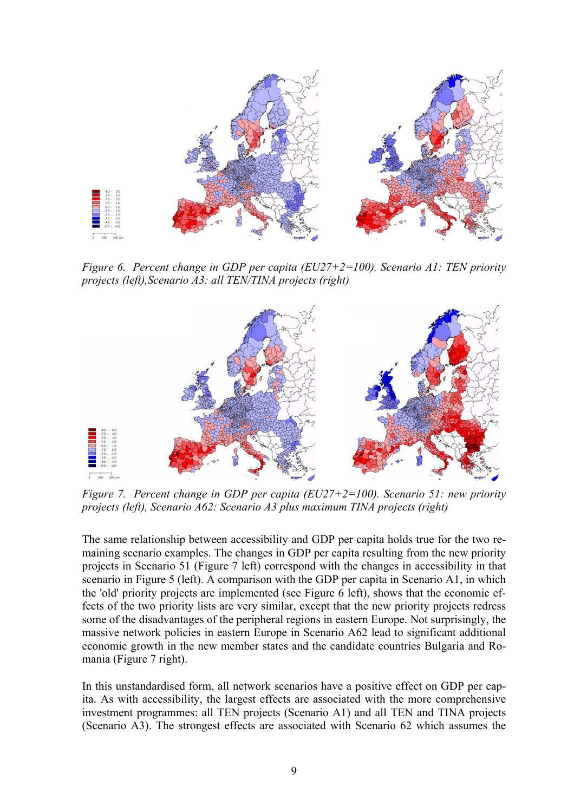

*Figure 6. Percent change in GDP per capita (EU27+2=100). Scenario A1: TEN priority projects (left),Scenario A3: all TEN/TINA projects (right)*



*Figure 7. Percent change in GDP per capita (EU27+2=100). Scenario 51: new priority projects (left), Scenario A62: Scenario A3 plus maximum TINA projects (right)*

The same relationship between accessibility and GDP per capita holds true for the two remaining scenario examples. The changes in GDP per capita resulting from the new priority projects in Scenario 51 (Figure 7 left) correspond with the changes in accessibility in that scenario in Figure 5 (left). A comparison with the GDP per capita in Scenario A1, in which the 'old' priority projects are implemented (see Figure 6 left), shows that the economic effects of the two priority lists are very similar, except that the new priority projects redress some of the disadvantages of the peripheral regions in eastern Europe. Not surprisingly, the massive network policies in eastern Europe in Scenario A62 lead to significant additional economic growth in the new member states and the candidate countries Bulgaria and Romania (Figure 7 right).

In this unstandardised form, all network scenarios have a positive effect on GDP per capita. As with accessibility, the largest effects are associated with the more comprehensive investment programmes: all TEN projects (Scenario A1) and all TEN and TINA projects (Scenario A3). The strongest effects are associated with Scenario 62 which assumes the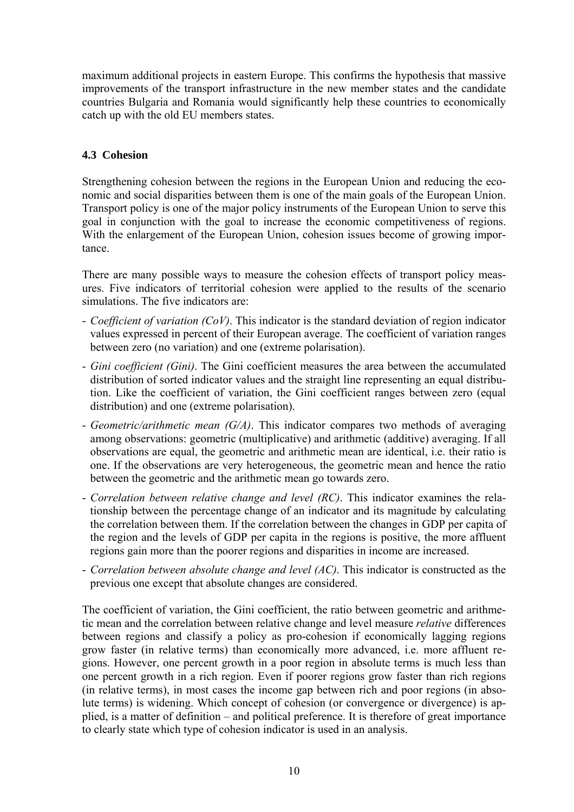maximum additional projects in eastern Europe. This confirms the hypothesis that massive improvements of the transport infrastructure in the new member states and the candidate countries Bulgaria and Romania would significantly help these countries to economically catch up with the old EU members states.

## **4.3 Cohesion**

Strengthening cohesion between the regions in the European Union and reducing the economic and social disparities between them is one of the main goals of the European Union. Transport policy is one of the major policy instruments of the European Union to serve this goal in conjunction with the goal to increase the economic competitiveness of regions. With the enlargement of the European Union, cohesion issues become of growing importance.

There are many possible ways to measure the cohesion effects of transport policy measures. Five indicators of territorial cohesion were applied to the results of the scenario simulations. The five indicators are:

- *Coefficient of variation (CoV)*. This indicator is the standard deviation of region indicator values expressed in percent of their European average. The coefficient of variation ranges between zero (no variation) and one (extreme polarisation).
- *Gini coefficient (Gini)*. The Gini coefficient measures the area between the accumulated distribution of sorted indicator values and the straight line representing an equal distribution. Like the coefficient of variation, the Gini coefficient ranges between zero (equal distribution) and one (extreme polarisation).
- *Geometric/arithmetic mean (G/A)*. This indicator compares two methods of averaging among observations: geometric (multiplicative) and arithmetic (additive) averaging. If all observations are equal, the geometric and arithmetic mean are identical, i.e. their ratio is one. If the observations are very heterogeneous, the geometric mean and hence the ratio between the geometric and the arithmetic mean go towards zero.
- *Correlation between relative change and level (RC)*. This indicator examines the relationship between the percentage change of an indicator and its magnitude by calculating the correlation between them. If the correlation between the changes in GDP per capita of the region and the levels of GDP per capita in the regions is positive, the more affluent regions gain more than the poorer regions and disparities in income are increased.
- *Correlation between absolute change and level (AC)*. This indicator is constructed as the previous one except that absolute changes are considered.

The coefficient of variation, the Gini coefficient, the ratio between geometric and arithmetic mean and the correlation between relative change and level measure *relative* differences between regions and classify a policy as pro-cohesion if economically lagging regions grow faster (in relative terms) than economically more advanced, i.e. more affluent regions. However, one percent growth in a poor region in absolute terms is much less than one percent growth in a rich region. Even if poorer regions grow faster than rich regions (in relative terms), in most cases the income gap between rich and poor regions (in absolute terms) is widening. Which concept of cohesion (or convergence or divergence) is applied, is a matter of definition – and political preference. It is therefore of great importance to clearly state which type of cohesion indicator is used in an analysis.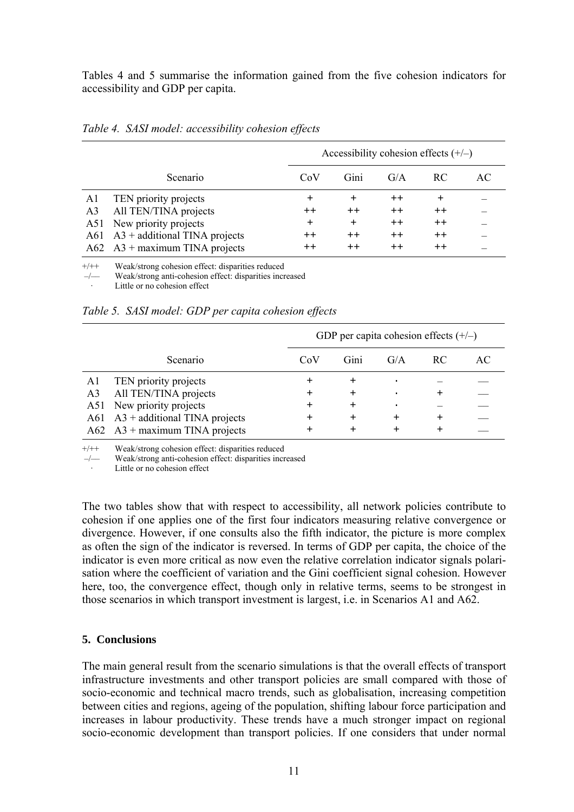Tables 4 and 5 summarise the information gained from the five cohesion indicators for accessibility and GDP per capita.

|     |                                           |           | Accessibility cohesion effects $(+/-)$ |      |       |    |  |
|-----|-------------------------------------------|-----------|----------------------------------------|------|-------|----|--|
|     | Scenario                                  | CoV       | Gini                                   | G/A  | RC.   | AC |  |
| Al  | TEN priority projects                     | $\pm$     | $^{+}$                                 | $++$ | $^+$  |    |  |
| A3  | All TEN/TINA projects                     | $+ +$     | $+ +$                                  | $++$ | $+ +$ |    |  |
| A51 | New priority projects                     | $\ddot{}$ | $+$                                    | $++$ | $++$  |    |  |
|     | $A61 \quad A3 + additional TINA projects$ | $+ +$     | $++$                                   | $++$ | $++$  |    |  |
|     | $A62$ $A3 +$ maximum TINA projects        | $++$      | $++$                                   | $++$ | $++$  |    |  |

*Table 4. SASI model: accessibility cohesion effects*

 $+/+$  Weak/strong cohesion effect: disparities reduced  $-/-$  Weak/strong anti-cohesion effect: disparities incr

Weak/strong anti-cohesion effect: disparities increased

Little or no cohesion effect

*Table 5. SASI model: GDP per capita cohesion effects*

|    |                                           |                    | GDP per capita cohesion effects $(+/-)$ |     |           |    |  |
|----|-------------------------------------------|--------------------|-----------------------------------------|-----|-----------|----|--|
|    | Scenario                                  | CoV                | Gini                                    | G/A | -RC       | AC |  |
| Al | TEN priority projects                     | ┿                  | ┿                                       |     |           |    |  |
| A3 | All TEN/TINA projects                     | $\hspace{0.1mm} +$ | $\ddot{}$                               |     | +         |    |  |
|    | A51 New priority projects                 | +                  | $\ddot{}$                               |     |           |    |  |
|    | $A61 \quad A3 + additional TINA projects$ | +                  | $\ddot{}$                               |     | $\ddot{}$ |    |  |
|    | $A62 \quad A3 +$ maximum TINA projects    | +                  |                                         |     | $\ddot{}$ |    |  |

 $+/+$  Weak/strong cohesion effect: disparities reduced  $-/-$  Weak/strong anti-cohesion effect: disparities incr

–/–– Weak/strong anti-cohesion effect: disparities increased

Little or no cohesion effect

The two tables show that with respect to accessibility, all network policies contribute to cohesion if one applies one of the first four indicators measuring relative convergence or divergence. However, if one consults also the fifth indicator, the picture is more complex as often the sign of the indicator is reversed. In terms of GDP per capita, the choice of the indicator is even more critical as now even the relative correlation indicator signals polarisation where the coefficient of variation and the Gini coefficient signal cohesion. However here, too, the convergence effect, though only in relative terms, seems to be strongest in those scenarios in which transport investment is largest, i.e. in Scenarios A1 and A62.

### **5. Conclusions**

The main general result from the scenario simulations is that the overall effects of transport infrastructure investments and other transport policies are small compared with those of socio-economic and technical macro trends, such as globalisation, increasing competition between cities and regions, ageing of the population, shifting labour force participation and increases in labour productivity. These trends have a much stronger impact on regional socio-economic development than transport policies. If one considers that under normal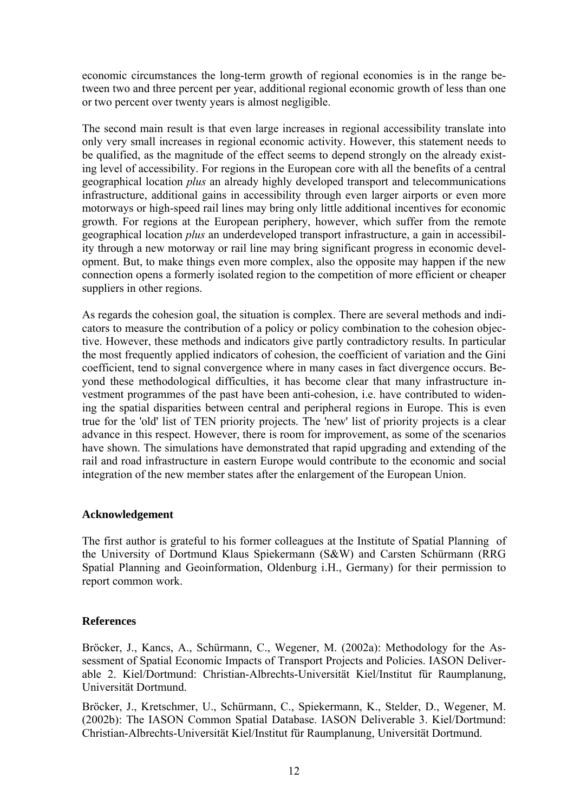economic circumstances the long-term growth of regional economies is in the range between two and three percent per year, additional regional economic growth of less than one or two percent over twenty years is almost negligible.

The second main result is that even large increases in regional accessibility translate into only very small increases in regional economic activity. However, this statement needs to be qualified, as the magnitude of the effect seems to depend strongly on the already existing level of accessibility. For regions in the European core with all the benefits of a central geographical location *plus* an already highly developed transport and telecommunications infrastructure, additional gains in accessibility through even larger airports or even more motorways or high-speed rail lines may bring only little additional incentives for economic growth. For regions at the European periphery, however, which suffer from the remote geographical location *plus* an underdeveloped transport infrastructure, a gain in accessibility through a new motorway or rail line may bring significant progress in economic development. But, to make things even more complex, also the opposite may happen if the new connection opens a formerly isolated region to the competition of more efficient or cheaper suppliers in other regions.

As regards the cohesion goal, the situation is complex. There are several methods and indicators to measure the contribution of a policy or policy combination to the cohesion objective. However, these methods and indicators give partly contradictory results. In particular the most frequently applied indicators of cohesion, the coefficient of variation and the Gini coefficient, tend to signal convergence where in many cases in fact divergence occurs. Beyond these methodological difficulties, it has become clear that many infrastructure investment programmes of the past have been anti-cohesion, i.e. have contributed to widening the spatial disparities between central and peripheral regions in Europe. This is even true for the 'old' list of TEN priority projects. The 'new' list of priority projects is a clear advance in this respect. However, there is room for improvement, as some of the scenarios have shown. The simulations have demonstrated that rapid upgrading and extending of the rail and road infrastructure in eastern Europe would contribute to the economic and social integration of the new member states after the enlargement of the European Union.

#### **Acknowledgement**

The first author is grateful to his former colleagues at the Institute of Spatial Planning of the University of Dortmund Klaus Spiekermann (S&W) and Carsten Schürmann (RRG Spatial Planning and Geoinformation, Oldenburg i.H., Germany) for their permission to report common work.

### **References**

Bröcker, J., Kancs, A., Schürmann, C., Wegener, M. (2002a): Methodology for the Assessment of Spatial Economic Impacts of Transport Projects and Policies. IASON Deliverable 2. Kiel/Dortmund: Christian-Albrechts-Universität Kiel/Institut für Raumplanung, Universität Dortmund.

Bröcker, J., Kretschmer, U., Schürmann, C., Spiekermann, K., Stelder, D., Wegener, M. (2002b): The IASON Common Spatial Database. IASON Deliverable 3. Kiel/Dortmund: Christian-Albrechts-Universität Kiel/Institut für Raumplanung, Universität Dortmund.